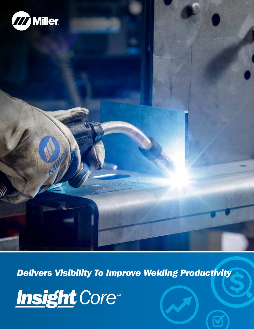

*Delivers Visibility To Improve Welding Productivity*

Insight Core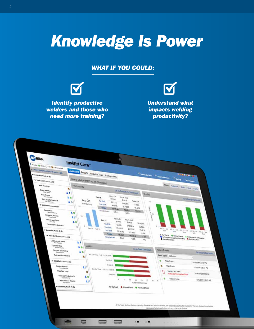# *Knowledge Is Power*

### *WHAT IF YOU COULD:*



*Identify productive welders and those who need more training?*

*Understand what impacts welding productivity?*

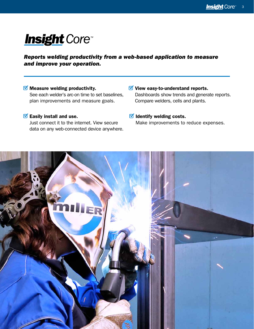# **Insight** Core

#### *Reports welding productivity from a web-based application to measure and improve your operation.*

#### $\blacksquare$  Measure welding productivity. See each welder's arc-on time to set baselines, plan improvements and measure goals.

#### $\blacksquare$  Easily install and use.

Just connect it to the internet. View secure data on any web-connected device anywhere.  $\blacksquare$  View easy-to-understand reports. Dashboards show trends and generate reports. Compare welders, cells and plants.

#### $\blacksquare$  Identify welding costs. Make improvements to reduce expenses.

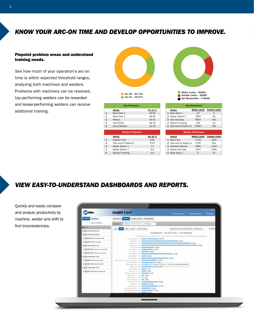#### *KNOW YOUR ARC-ON TIME AND DEVELOP OPPORTUNITIES TO IMPROVE.*

#### Pinpoint problem areas and understand training needs.

See how much of your operation's arc-on time is within expected threshold ranges, analyzing both machines and welders. Problems with machines can be resolved, top-performing welders can be rewarded and lesser-performing welders can receive additional training.



Arc On - 16.27% Arc Off – 83.73%

|                | <b>Top Producers</b> |          |
|----------------|----------------------|----------|
|                | Device               | Arc On % |
| $\mathbf{1}$   | Base Deck 1          | 48.66    |
| $\overline{2}$ | Base Deck 2          | 48.66    |
| 3              | Wheels               | 40.53    |
| $\overline{4}$ | Axle Shafts          | 38.78    |
| 5              | <b>Cross Member</b>  | 33.78    |

| <b>Bottom Producers</b> |                         |          |  |  |  |  |  |
|-------------------------|-------------------------|----------|--|--|--|--|--|
|                         | Device                  | Arc On % |  |  |  |  |  |
| $\mathbf{1}$            | Operator Cab            | 9.87     |  |  |  |  |  |
| 2                       | Tack and Fit Station F. | 9.23     |  |  |  |  |  |
| 3                       | Repair Station 1        | 7.1      |  |  |  |  |  |
|                         | Repair Station 2        | 6.8      |  |  |  |  |  |
| 5                       | <b>Rework Finishing</b> | 3.0      |  |  |  |  |  |

Within Limits - 83902

Outside Limits - 16083 Not Measurable – 0 Welds

| <b>Top Performers</b> |                          |                      |                       |  |  |  |  |  |  |
|-----------------------|--------------------------|----------------------|-----------------------|--|--|--|--|--|--|
|                       | Device                   | <b>Within Limits</b> | <b>Outside Limits</b> |  |  |  |  |  |  |
| 1                     | Base Deck 1              | 15                   | 0                     |  |  |  |  |  |  |
|                       | 2 Repair Station 1       | 2564                 | 95                    |  |  |  |  |  |  |
|                       | 3 Axle Housings          | 9803                 | 441                   |  |  |  |  |  |  |
|                       | 4 Rework Finishing       | 464                  | つつ                    |  |  |  |  |  |  |
|                       | 5 Tack and Fit Station D | 15083                | 924                   |  |  |  |  |  |  |
|                       |                          |                      |                       |  |  |  |  |  |  |

| <b>Bottom Performers</b> |                      |                          |  |  |  |  |  |  |  |
|--------------------------|----------------------|--------------------------|--|--|--|--|--|--|--|
| <b>Device</b>            | <b>Within Limits</b> | <b>Outside Limits</b>    |  |  |  |  |  |  |  |
| 1 Boom Arm               | 2723                 | 1201                     |  |  |  |  |  |  |  |
|                          | 1795                 | 941                      |  |  |  |  |  |  |  |
| 3 Hydraulic Mounts       | 2940                 | 1610                     |  |  |  |  |  |  |  |
| 4 Shovel and Claw        | 1937                 | 1393                     |  |  |  |  |  |  |  |
| 5 Base Deck 2            |                      | 15                       |  |  |  |  |  |  |  |
|                          |                      | 2 Tack and Fit Station A |  |  |  |  |  |  |  |

## *VIEW EASY-TO-UNDERSTAND DASHBOARDS AND REPORTS.*

Quickly and easily compare and analyze productivity by machine, welder and shift to find inconsistencies.

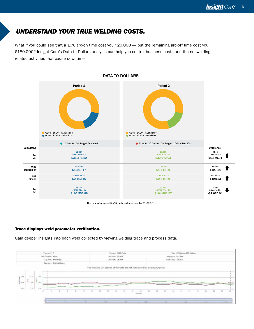#### *UNDERSTAND YOUR TRUE WELDING COSTS.*

What if you could see that a 10% arc-on time cost you \$20,000 — but the remaining arc-off time cost you \$180,000? Insight Core's Data to Dollars analysis can help you control business costs and the nonweldingrelated activities that cause downtime.



DATA TO DOLLARS

The cost of non-welding time has decreased by \$1,670.91.

#### Trace displays weld parameter verification.

Gain deeper insights into each weld collected by viewing welding trace and process data.

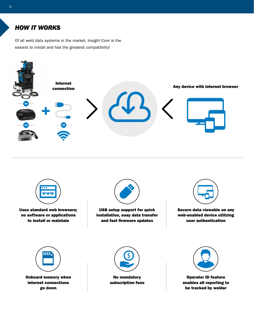## *HOW IT WORKS*

Of all weld data systems in the market, Insight Core is the easiest to install and has the greatest compatibility!





Uses standard web browsers; no software or applications to install or maintain



USB setup support for quick installation, easy data transfer and fast firmware updates



Secure data viewable on any web-enabled device utilizing user authentication





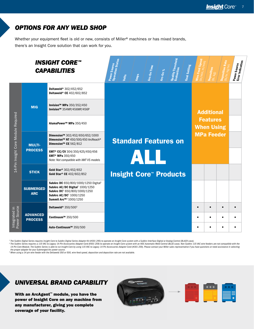# *OPTIONS FOR ANY WELD SHOP*

Whether your equipment fleet is old or new, consists of Miller® machines or has mixed brands, there's an Insight Core solution that can work for you.

| <b>INSIGHT CORE™</b><br><b>CAPABILITIES</b> |                                   |                                                                                                                                                                                                                          | <b>Power Source</b><br>Operation Status | Joits | Amps | Arc-On Time | Arc-On % | Quality Threshold<br>Evaluation | Goal Setting | Wire-Feed Speed<br>(in/min, m/min) | Deposition<br>$\frac{\left(\mathsf{lb},\mathsf{kg}\right)}{\left(\mathsf{lb},\mathsf{kg}\right)}$ | Deposition Rate<br>(Ib/hr, kg/hr) | Power Source<br>  Error Indication |  |
|---------------------------------------------|-----------------------------------|--------------------------------------------------------------------------------------------------------------------------------------------------------------------------------------------------------------------------|-----------------------------------------|-------|------|-------------|----------|---------------------------------|--------------|------------------------------------|---------------------------------------------------------------------------------------------------|-----------------------------------|------------------------------------|--|
| 14-Pin Insight Core Module Required         |                                   | Deltaweld® 302/452/652<br>Deltaweld® CE 402/602/852                                                                                                                                                                      |                                         |       |      |             |          |                                 |              |                                    |                                                                                                   |                                   |                                    |  |
|                                             | <b>MIG</b>                        | Invision™ MPa 350/352/450<br>Invision™ 354MP/456MP/456P                                                                                                                                                                  |                                         |       |      |             |          |                                 |              |                                    | <b>Additional</b>                                                                                 |                                   |                                    |  |
|                                             |                                   | AlumaPower™ MPa 350/450                                                                                                                                                                                                  |                                         |       |      |             |          |                                 |              |                                    | <b>Features</b><br><b>When Using</b>                                                              |                                   |                                    |  |
|                                             | <b>MULTI-</b><br><b>PROCESS</b>   | Dimension™ 302/452/650/652/1000<br>Dimension™ NT 450/500/450 ArcReach®<br>Dimension™ CE 562/812                                                                                                                          |                                         |       |      |             |          | <b>Standard Features on</b>     |              |                                    | <b>MPa Feeder</b>                                                                                 |                                   |                                    |  |
|                                             |                                   | XMT <sup>®</sup> CC/CV 304/350/425/450/456<br>ХМТ <sup>®</sup> МРа 350/450<br>Note: Not compatible with XMT VS models                                                                                                    |                                         |       | AL   |             |          |                                 |              |                                    |                                                                                                   |                                   |                                    |  |
|                                             | <b>STICK</b>                      | Gold Star® 302/452/652<br>Gold Star® CE 402/602/852                                                                                                                                                                      |                                         |       |      |             |          | <b>Insight Core™ Products</b>   |              |                                    |                                                                                                   |                                   |                                    |  |
|                                             | <b>SUBMERGED</b><br><b>ARC</b>    | SubArc DC 650/800/1000/1250 Digital <sup>1</sup><br>SubArc AC/DC Digital <sup>1</sup> 1000/1250<br>SubArc DC <sup>2</sup> 650/800/1000/1250<br>SubArc AC/DC <sup>2</sup> 1000/1250<br>Summit Arc™ <sup>2</sup> 1000/1250 |                                         |       |      |             |          |                                 |              |                                    |                                                                                                   |                                   |                                    |  |
| Power Source<br>Integrated in               | <b>ADVANCED</b><br><b>PROCESS</b> | Deltaweld® 350/5003                                                                                                                                                                                                      |                                         |       |      |             |          |                                 |              | $\bullet$                          |                                                                                                   |                                   | $\bullet$                          |  |
|                                             |                                   | Continuum™ 350/500                                                                                                                                                                                                       |                                         |       |      |             |          |                                 |              | $\bullet$                          | $\bullet$                                                                                         |                                   | $\bullet$                          |  |
|                                             |                                   | Auto-Continuum™ 350/500                                                                                                                                                                                                  |                                         |       |      |             |          |                                 |              |                                    |                                                                                                   |                                   | $\bullet$                          |  |

<sup>1</sup> The SubArc Digital Series requires Insight Core to SubArc Digital Series Adapter Kit (#301 295) to operate on Insight Core system with a SubArc Interface Digital or Analog Control (BLACK case).

The SubArc Series requires a 115 VAC to Legacy 14-Pin Accessories Adapter Cord (#301 259) to operate on Insight Core system with an HDC Automatic Weld Control (BLUE case). Non-SubArc 115 VAC wire feeders are not compatible *the proper adapter for your Submerged Arc power source.*

*3 When using a 14-pin wire feeder with the Deltaweld 350 or 500, wire-feed speed, deposition and deposition rate are not available.*

## *UNIVERSAL BRAND CAPABILITY*

With an ArcAgent™ module, you have the power of Insight Core on any machine from any manufacturer, giving you complete coverage of your facility.